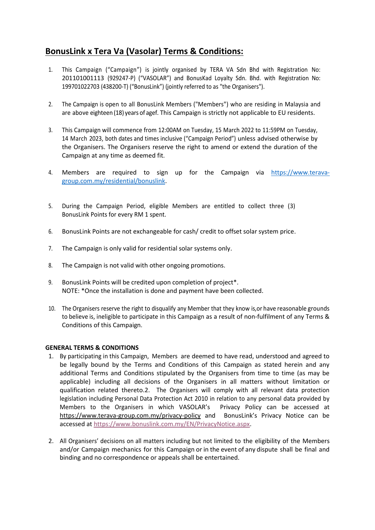## **BonusLink x Tera Va (Vasolar) Terms & Conditions:**

- 1. This Campaign ("Campaign") is jointly organised by TERA VA Sdn Bhd with Registration No: 201101001113 (929247-P) ("VASOLAR") and BonusKad Loyalty Sdn. Bhd. with Registration No: 199701022703 (438200-T) ("BonusLink") (jointly referred to as "the Organisers").
- 2. The Campaign is open to all BonusLink Members ("Members") who are residing in Malaysia and are above eighteen (18) years of agef. This Campaign is strictly not applicable to EU residents.
- 3. This Campaign will commence from 12:00AM on Tuesday, 15 March 2022 to 11:59PM on Tuesday, 14 March 2023, both dates and times inclusive ("Campaign Period") unless advised otherwise by the Organisers. The Organisers reserve the right to amend or extend the duration of the Campaign at any time as deemed fit.
- 4. Members are required to sign up for the Campaign via [https://www.terava](https://www.terava-group.com.my/residential/bonuslink)[group.com.my/residential/bonuslink.](https://www.terava-group.com.my/residential/bonuslink)
- 5. During the Campaign Period, eligible Members are entitled to collect three (3) BonusLink Points for every RM 1 spent.
- 6. BonusLink Points are not exchangeable for cash/ credit to offset solar system price.
- 7. The Campaign is only valid for residential solar systems only.
- 8. The Campaign is not valid with other ongoing promotions.
- 9. BonusLink Points will be credited upon completion of project\*. NOTE: \*Once the installation is done and payment have been collected.
- 10. The Organisers reserve the right to disqualify any Member that they know is, or have reasonable grounds to believe is, ineligible to participate in this Campaign as a result of non-fulfilment of any Terms & Conditions of this Campaign.

## **GENERAL TERMS & CONDITIONS**

- 1. By participating in this Campaign, Members are deemed to have read, understood and agreed to be legally bound by the Terms and Conditions of this Campaign as stated herein and any additional Terms and Conditions stipulated by the Organisers from time to time (as may be applicable) including all decisions of the Organisers in all matters without limitation or qualification related thereto.2. The Organisers will comply with all relevant data protection legislation including Personal Data Protection Act 2010 in relation to any personal data provided by Members to the Organisers in which VASOLAR's Privacy Policy can be accessed at <https://www.terava-group.com.my/privacy-policy> and BonusLink's Privacy Notice can be accessed at [https://www.bonuslink.com.my/EN/PrivacyNotice.aspx.](https://www.bonuslink.com.my/EN/PrivacyNotice.aspx)
- 2. All Organisers' decisions on all matters including but not limited to the eligibility of the Members and/or Campaign mechanics for this Campaign or in the event of any dispute shall be final and binding and no correspondence or appeals shall be entertained.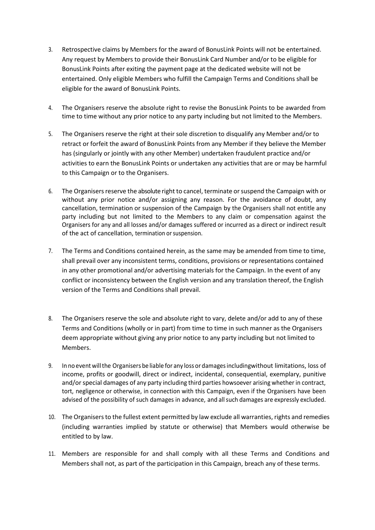- 3. Retrospective claims by Members for the award of BonusLink Points will not be entertained. Any request by Members to provide their BonusLink Card Number and/or to be eligible for BonusLink Points after exiting the payment page at the dedicated website will not be entertained. Only eligible Members who fulfill the Campaign Terms and Conditions shall be eligible for the award of BonusLink Points.
- 4. The Organisers reserve the absolute right to revise the BonusLink Points to be awarded from time to time without any prior notice to any party including but not limited to the Members.
- 5. The Organisers reserve the right at their sole discretion to disqualify any Member and/or to retract or forfeit the award of BonusLink Points from any Member if they believe the Member has (singularly or jointly with any other Member) undertaken fraudulent practice and/or activities to earn the BonusLink Points or undertaken any activities that are or may be harmful to this Campaign or to the Organisers.
- 6. The Organisers reserve the absolute right to cancel, terminate or suspend the Campaign with or without any prior notice and/or assigning any reason. For the avoidance of doubt, any cancellation, termination or suspension of the Campaign by the Organisers shall not entitle any party including but not limited to the Members to any claim or compensation against the Organisers for any and all losses and/or damages suffered or incurred as a direct or indirect result of the act of cancellation, termination or suspension.
- 7. The Terms and Conditions contained herein, as the same may be amended from time to time, shall prevail over any inconsistent terms, conditions, provisions or representations contained in any other promotional and/or advertising materials for the Campaign. In the event of any conflict or inconsistency between the English version and any translation thereof, the English version of the Terms and Conditions shall prevail.
- 8. The Organisers reserve the sole and absolute right to vary, delete and/or add to any of these Terms and Conditions (wholly or in part) from time to time in such manner as the Organisers deem appropriate without giving any prior notice to any party including but not limited to Members.
- 9. In no eventwillthe Organisers be liable for any loss or damagesincludingwithout limitations, loss of income, profits or goodwill, direct or indirect, incidental, consequential, exemplary, punitive and/or special damages of any party including third parties howsoever arising whether in contract, tort, negligence or otherwise, in connection with this Campaign, even if the Organisers have been advised of the possibility of such damages in advance, and allsuch damages are expressly excluded.
- 10. The Organisers to the fullest extent permitted by law exclude all warranties, rights and remedies (including warranties implied by statute or otherwise) that Members would otherwise be entitled to by law.
- 11. Members are responsible for and shall comply with all these Terms and Conditions and Members shall not, as part of the participation in this Campaign, breach any of these terms.